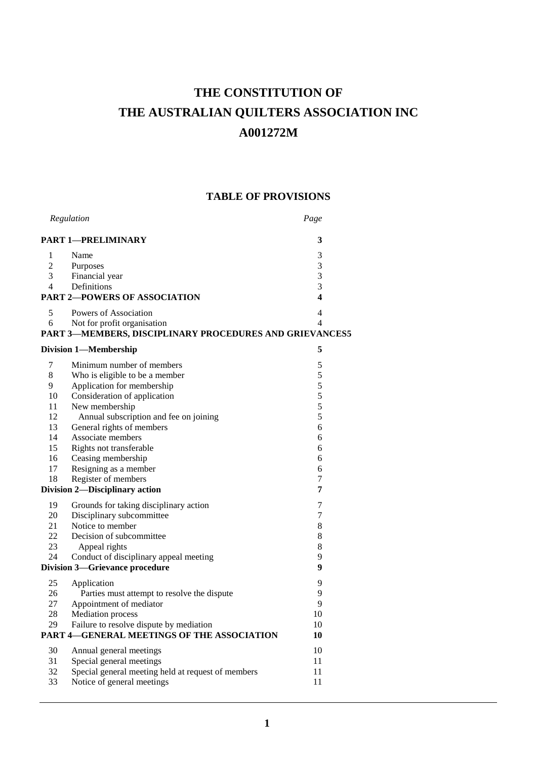# **THE CONSTITUTION OF THE AUSTRALIAN QUILTERS ASSOCIATION INC A001272M**

# **TABLE OF PROVISIONS**

| Regulation                          |                                                         | Page                    |
|-------------------------------------|---------------------------------------------------------|-------------------------|
|                                     | <b>PART 1-PRELIMINARY</b>                               | 3                       |
| 1                                   | Name                                                    | 3                       |
| $\overline{c}$                      | Purposes                                                | 3                       |
| 3                                   | Financial year                                          | 3                       |
| 4                                   | Definitions                                             | 3                       |
| <b>PART 2-POWERS OF ASSOCIATION</b> |                                                         | $\overline{\mathbf{4}}$ |
| 5                                   | Powers of Association                                   | $\overline{4}$          |
| 6                                   | Not for profit organisation                             | 4                       |
|                                     | PART 3-MEMBERS, DISCIPLINARY PROCEDURES AND GRIEVANCES5 |                         |
|                                     | <b>Division 1-Membership</b>                            | 5                       |
| 7                                   | Minimum number of members                               | 5                       |
| 8                                   | Who is eligible to be a member                          | 5                       |
| 9                                   | Application for membership                              | 5                       |
| 10                                  | Consideration of application                            | 5                       |
| 11                                  | New membership                                          | 5                       |
| 12                                  | Annual subscription and fee on joining                  | 5                       |
| 13                                  | General rights of members                               | 6                       |
| 14                                  | Associate members                                       | 6                       |
| 15                                  | Rights not transferable                                 | 6                       |
| 16                                  | Ceasing membership                                      | 6                       |
| 17                                  | Resigning as a member                                   | 6                       |
| 18                                  | Register of members                                     | 7                       |
|                                     | Division 2-Disciplinary action                          | 7                       |
| 19                                  | Grounds for taking disciplinary action                  | 7                       |
| 20                                  | Disciplinary subcommittee                               | 7                       |
| 21                                  | Notice to member                                        | 8                       |
| 22                                  | Decision of subcommittee                                | 8                       |
| 23                                  | Appeal rights                                           | 8                       |
| 24                                  | Conduct of disciplinary appeal meeting                  | 9                       |
|                                     | <b>Division 3-Grievance procedure</b>                   | 9                       |
| 25                                  | Application                                             | 9                       |
| 26                                  | Parties must attempt to resolve the dispute             | 9                       |
| 27                                  | Appointment of mediator                                 | 9                       |
| 28                                  | <b>Mediation</b> process                                | 10                      |
| 29                                  | Failure to resolve dispute by mediation                 | 10                      |
|                                     | PART 4-GENERAL MEETINGS OF THE ASSOCIATION              | 10                      |
| 30                                  | Annual general meetings                                 | 10                      |
| 31                                  | Special general meetings                                | 11                      |
| 32                                  | Special general meeting held at request of members      | 11                      |
| 33                                  | Notice of general meetings                              | 11                      |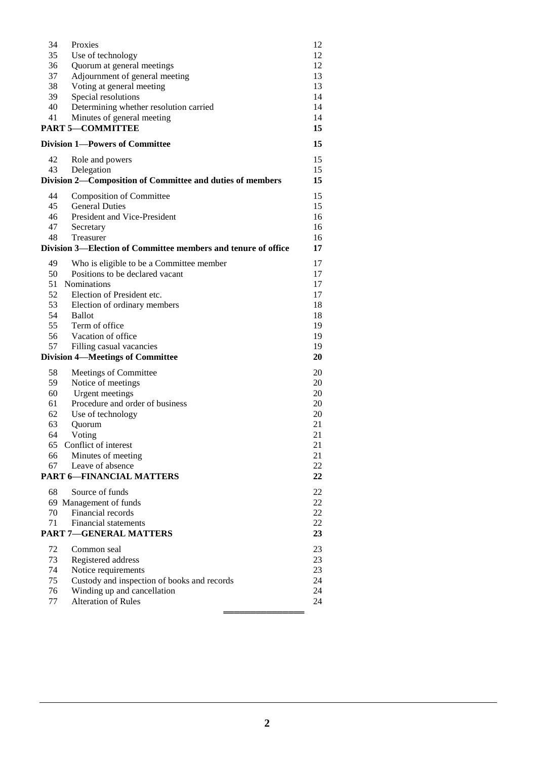| 34                                      | Proxies                                                       | 12 |
|-----------------------------------------|---------------------------------------------------------------|----|
| 35                                      | Use of technology                                             | 12 |
| 36                                      | Quorum at general meetings                                    | 12 |
| 37                                      | Adjournment of general meeting                                | 13 |
| 38                                      | Voting at general meeting                                     | 13 |
| 39                                      | Special resolutions                                           | 14 |
| 40                                      |                                                               | 14 |
|                                         | Determining whether resolution carried                        |    |
| 41                                      | Minutes of general meeting                                    | 14 |
|                                         | <b>PART 5-COMMITTEE</b>                                       | 15 |
| <b>Division 1-Powers of Committee</b>   |                                                               | 15 |
| 42                                      | Role and powers                                               | 15 |
| 43                                      | Delegation                                                    | 15 |
|                                         | Division 2-Composition of Committee and duties of members     | 15 |
|                                         |                                                               |    |
| 44                                      | <b>Composition of Committee</b>                               | 15 |
| 45                                      | <b>General Duties</b>                                         | 15 |
| 46                                      | President and Vice-President                                  | 16 |
| 47                                      | Secretary                                                     | 16 |
| 48                                      | Treasurer                                                     | 16 |
|                                         |                                                               |    |
|                                         | Division 3—Election of Committee members and tenure of office | 17 |
| 49                                      | Who is eligible to be a Committee member                      | 17 |
| 50                                      | Positions to be declared vacant                               | 17 |
| 51                                      | <b>Nominations</b>                                            | 17 |
| 52                                      | Election of President etc.                                    | 17 |
|                                         |                                                               |    |
| 53                                      | Election of ordinary members                                  | 18 |
| 54                                      | Ballot                                                        | 18 |
| 55                                      | Term of office                                                | 19 |
| 56                                      | Vacation of office                                            | 19 |
| 57                                      | Filling casual vacancies                                      | 19 |
| <b>Division 4-Meetings of Committee</b> |                                                               | 20 |
|                                         |                                                               |    |
| 58                                      | Meetings of Committee                                         | 20 |
| 59                                      | Notice of meetings                                            | 20 |
| 60                                      | <b>Urgent</b> meetings                                        | 20 |
| 61                                      | Procedure and order of business                               | 20 |
| 62                                      | Use of technology                                             | 20 |
| 63                                      | Quorum                                                        | 21 |
| 64                                      | Voting                                                        | 21 |
| 65                                      | Conflict of interest                                          | 21 |
|                                         |                                                               |    |
| 66                                      | Minutes of meeting                                            | 21 |
| 67                                      | Leave of absence                                              | 22 |
|                                         | <b>PART 6-FINANCIAL MATTERS</b>                               | 22 |
| 68                                      | Source of funds                                               | 22 |
|                                         | 69 Management of funds                                        | 22 |
| 70                                      | Financial records                                             | 22 |
|                                         |                                                               |    |
| 71                                      | <b>Financial statements</b>                                   | 22 |
|                                         | <b>PART 7-GENERAL MATTERS</b>                                 | 23 |
| 72                                      | Common seal                                                   | 23 |
| 73                                      | Registered address                                            | 23 |
| 74                                      | Notice requirements                                           | 23 |
| 75                                      |                                                               |    |
|                                         | Custody and inspection of books and records                   | 24 |
| 76                                      | Winding up and cancellation                                   | 24 |
| 77                                      | <b>Alteration of Rules</b>                                    | 24 |

═══════════════ 25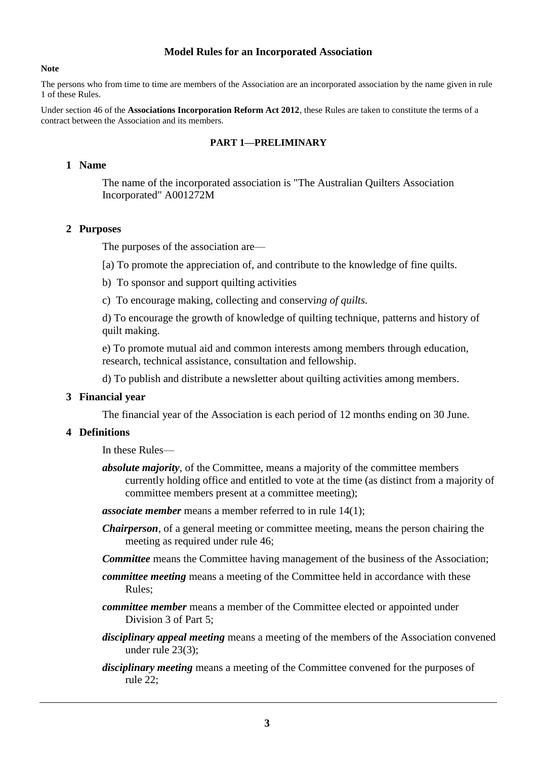#### **Model Rules for an Incorporated Association**

#### **Note**

The persons who from time to time are members of the Association are an incorporated association by the name given in rule 1 of these Rules.

Under section 46 of the **Associations Incorporation Reform Act 2012**, these Rules are taken to constitute the terms of a contract between the Association and its members.

#### **PART 1—PRELIMINARY**

# **1 Name**

The name of the incorporated association is "The Australian Quilters Association Incorporated" A001272M

#### **2 Purposes**

The purposes of the association are—

[a) To promote the appreciation of, and contribute to the knowledge of fine quilts.

- b) To sponsor and support quilting activities
- c) To encourage making, collecting and conservi*ng of quilts.*

d) To encourage the growth of knowledge of quilting technique, patterns and history of quilt making.

e) To promote mutual aid and common interests among members through education, research, technical assistance, consultation and fellowship.

d) To publish and distribute a newsletter about quilting activities among members.

#### **3 Financial year**

The financial year of the Association is each period of 12 months ending on 30 June.

# **4 Definitions**

In these Rules—

- *absolute majority*, of the Committee, means a majority of the committee members currently holding office and entitled to vote at the time (as distinct from a majority of committee members present at a committee meeting);
- *associate member* means a member referred to in rule 14(1);
- *Chairperson*, of a general meeting or committee meeting, means the person chairing the meeting as required under rule 46;
- *Committee* means the Committee having management of the business of the Association;
- *committee meeting* means a meeting of the Committee held in accordance with these Rules;
- *committee member* means a member of the Committee elected or appointed under Division 3 of Part 5;
- *disciplinary appeal meeting* means a meeting of the members of the Association convened under rule 23(3);
- *disciplinary meeting* means a meeting of the Committee convened for the purposes of rule 22;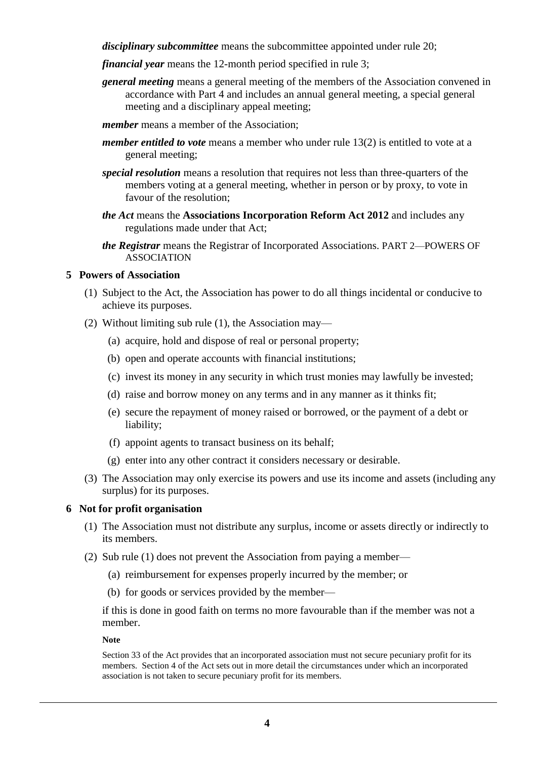*disciplinary subcommittee* means the subcommittee appointed under rule 20;

- *financial year* means the 12-month period specified in rule 3;
- *general meeting* means a general meeting of the members of the Association convened in accordance with Part 4 and includes an annual general meeting, a special general meeting and a disciplinary appeal meeting;
- *member* means a member of the Association;
- *member entitled to vote* means a member who under rule 13(2) is entitled to vote at a general meeting;
- *special resolution* means a resolution that requires not less than three-quarters of the members voting at a general meeting, whether in person or by proxy, to vote in favour of the resolution;
- *the Act* means the **Associations Incorporation Reform Act 2012** and includes any regulations made under that Act;
- *the Registrar* means the Registrar of Incorporated Associations. PART 2—POWERS OF ASSOCIATION

# **5 Powers of Association**

- (1) Subject to the Act, the Association has power to do all things incidental or conducive to achieve its purposes.
- (2) Without limiting sub rule (1), the Association may—
	- (a) acquire, hold and dispose of real or personal property;
	- (b) open and operate accounts with financial institutions;
	- (c) invest its money in any security in which trust monies may lawfully be invested;
	- (d) raise and borrow money on any terms and in any manner as it thinks fit;
	- (e) secure the repayment of money raised or borrowed, or the payment of a debt or liability;
	- (f) appoint agents to transact business on its behalf;
	- (g) enter into any other contract it considers necessary or desirable.
- (3) The Association may only exercise its powers and use its income and assets (including any surplus) for its purposes.

#### **6 Not for profit organisation**

- (1) The Association must not distribute any surplus, income or assets directly or indirectly to its members.
- (2) Sub rule (1) does not prevent the Association from paying a member—
	- (a) reimbursement for expenses properly incurred by the member; or
	- (b) for goods or services provided by the member—

if this is done in good faith on terms no more favourable than if the member was not a member.

#### **Note**

Section 33 of the Act provides that an incorporated association must not secure pecuniary profit for its members. Section 4 of the Act sets out in more detail the circumstances under which an incorporated association is not taken to secure pecuniary profit for its members.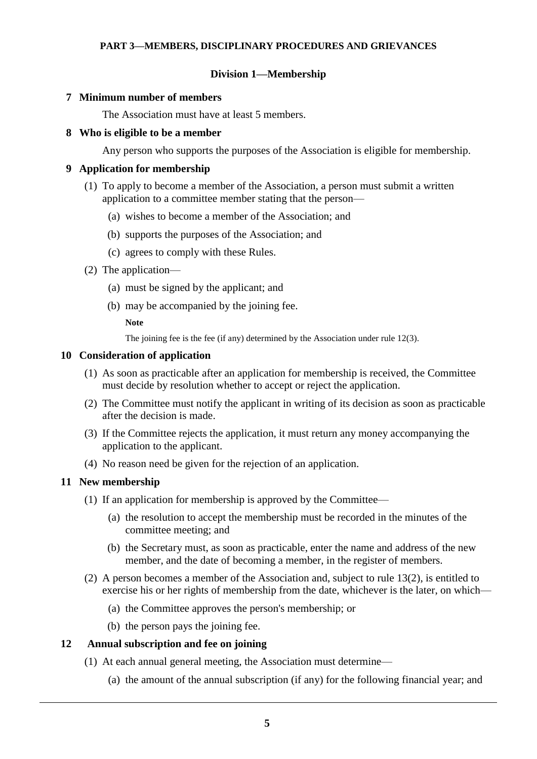# **PART 3—MEMBERS, DISCIPLINARY PROCEDURES AND GRIEVANCES**

# **Division 1—Membership**

#### **7 Minimum number of members**

The Association must have at least 5 members.

#### **8 Who is eligible to be a member**

Any person who supports the purposes of the Association is eligible for membership.

# **9 Application for membership**

- (1) To apply to become a member of the Association, a person must submit a written application to a committee member stating that the person—
	- (a) wishes to become a member of the Association; and
	- (b) supports the purposes of the Association; and
	- (c) agrees to comply with these Rules.
- (2) The application—
	- (a) must be signed by the applicant; and
	- (b) may be accompanied by the joining fee.

**Note**

The joining fee is the fee (if any) determined by the Association under rule 12(3).

#### **10 Consideration of application**

- (1) As soon as practicable after an application for membership is received, the Committee must decide by resolution whether to accept or reject the application.
- (2) The Committee must notify the applicant in writing of its decision as soon as practicable after the decision is made.
- (3) If the Committee rejects the application, it must return any money accompanying the application to the applicant.
- (4) No reason need be given for the rejection of an application.

# **11 New membership**

- (1) If an application for membership is approved by the Committee—
	- (a) the resolution to accept the membership must be recorded in the minutes of the committee meeting; and
	- (b) the Secretary must, as soon as practicable, enter the name and address of the new member, and the date of becoming a member, in the register of members.
- (2) A person becomes a member of the Association and, subject to rule 13(2), is entitled to exercise his or her rights of membership from the date, whichever is the later, on which—
	- (a) the Committee approves the person's membership; or
	- (b) the person pays the joining fee.

#### **12 Annual subscription and fee on joining**

- (1) At each annual general meeting, the Association must determine—
	- (a) the amount of the annual subscription (if any) for the following financial year; and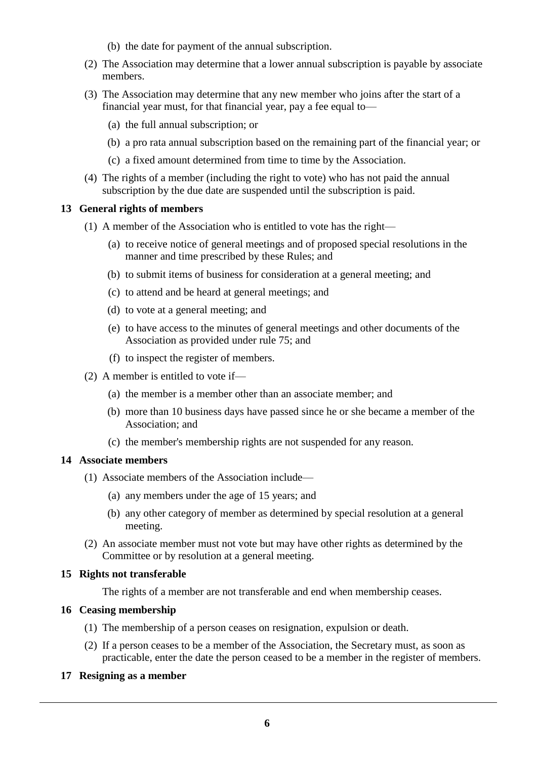- (b) the date for payment of the annual subscription.
- (2) The Association may determine that a lower annual subscription is payable by associate members.
- (3) The Association may determine that any new member who joins after the start of a financial year must, for that financial year, pay a fee equal to—
	- (a) the full annual subscription; or
	- (b) a pro rata annual subscription based on the remaining part of the financial year; or
	- (c) a fixed amount determined from time to time by the Association.
- (4) The rights of a member (including the right to vote) who has not paid the annual subscription by the due date are suspended until the subscription is paid.

# **13 General rights of members**

- (1) A member of the Association who is entitled to vote has the right—
	- (a) to receive notice of general meetings and of proposed special resolutions in the manner and time prescribed by these Rules; and
	- (b) to submit items of business for consideration at a general meeting; and
	- (c) to attend and be heard at general meetings; and
	- (d) to vote at a general meeting; and
	- (e) to have access to the minutes of general meetings and other documents of the Association as provided under rule 75; and
	- (f) to inspect the register of members.
- (2) A member is entitled to vote if—
	- (a) the member is a member other than an associate member; and
	- (b) more than 10 business days have passed since he or she became a member of the Association; and
	- (c) the member's membership rights are not suspended for any reason.

# **14 Associate members**

- (1) Associate members of the Association include—
	- (a) any members under the age of 15 years; and
	- (b) any other category of member as determined by special resolution at a general meeting.
- (2) An associate member must not vote but may have other rights as determined by the Committee or by resolution at a general meeting.

# **15 Rights not transferable**

The rights of a member are not transferable and end when membership ceases.

# **16 Ceasing membership**

- (1) The membership of a person ceases on resignation, expulsion or death.
- (2) If a person ceases to be a member of the Association, the Secretary must, as soon as practicable, enter the date the person ceased to be a member in the register of members.

# **17 Resigning as a member**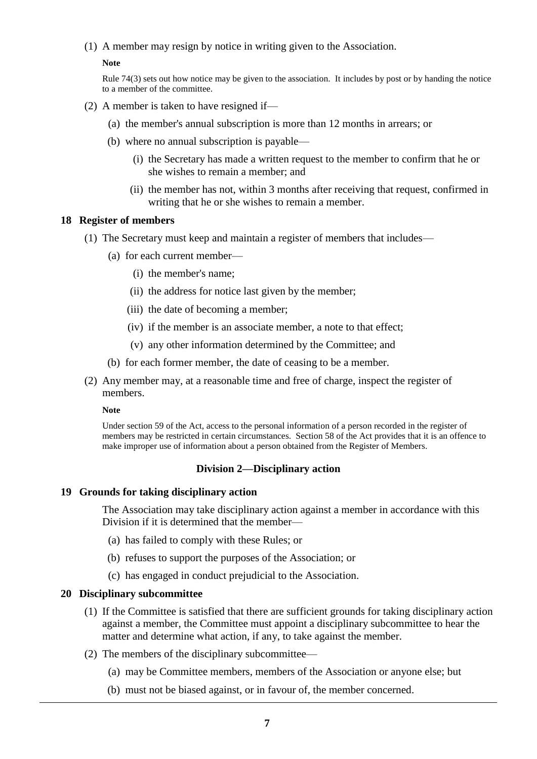(1) A member may resign by notice in writing given to the Association.

#### **Note**

Rule 74(3) sets out how notice may be given to the association. It includes by post or by handing the notice to a member of the committee.

- (2) A member is taken to have resigned if—
	- (a) the member's annual subscription is more than 12 months in arrears; or
	- (b) where no annual subscription is payable—
		- (i) the Secretary has made a written request to the member to confirm that he or she wishes to remain a member; and
		- (ii) the member has not, within 3 months after receiving that request, confirmed in writing that he or she wishes to remain a member.

#### **18 Register of members**

- (1) The Secretary must keep and maintain a register of members that includes—
	- (a) for each current member—
		- (i) the member's name;
		- (ii) the address for notice last given by the member;
		- (iii) the date of becoming a member;
		- (iv) if the member is an associate member, a note to that effect;
		- (v) any other information determined by the Committee; and
	- (b) for each former member, the date of ceasing to be a member.
- (2) Any member may, at a reasonable time and free of charge, inspect the register of members.

#### **Note**

Under section 59 of the Act, access to the personal information of a person recorded in the register of members may be restricted in certain circumstances. Section 58 of the Act provides that it is an offence to make improper use of information about a person obtained from the Register of Members.

# **Division 2—Disciplinary action**

# **19 Grounds for taking disciplinary action**

The Association may take disciplinary action against a member in accordance with this Division if it is determined that the member—

- (a) has failed to comply with these Rules; or
- (b) refuses to support the purposes of the Association; or
- (c) has engaged in conduct prejudicial to the Association.

# **20 Disciplinary subcommittee**

- (1) If the Committee is satisfied that there are sufficient grounds for taking disciplinary action against a member, the Committee must appoint a disciplinary subcommittee to hear the matter and determine what action, if any, to take against the member.
- (2) The members of the disciplinary subcommittee—
	- (a) may be Committee members, members of the Association or anyone else; but
	- (b) must not be biased against, or in favour of, the member concerned.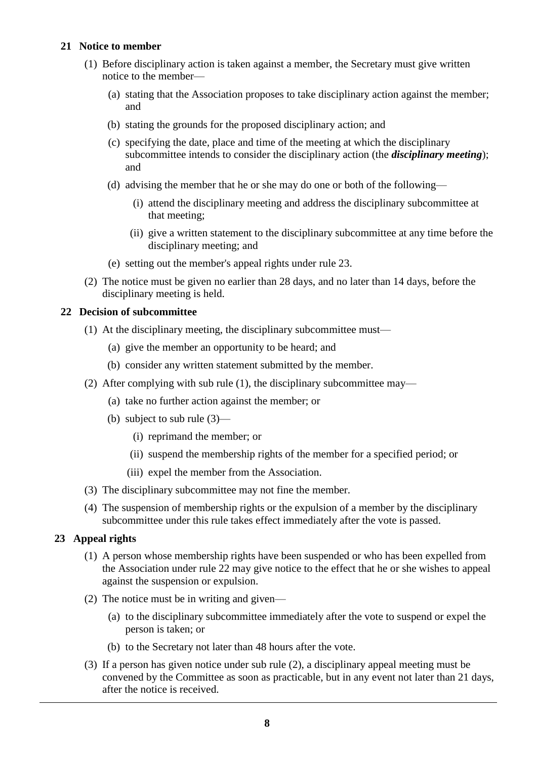# **21 Notice to member**

- (1) Before disciplinary action is taken against a member, the Secretary must give written notice to the member—
	- (a) stating that the Association proposes to take disciplinary action against the member; and
	- (b) stating the grounds for the proposed disciplinary action; and
	- (c) specifying the date, place and time of the meeting at which the disciplinary subcommittee intends to consider the disciplinary action (the *disciplinary meeting*); and
	- (d) advising the member that he or she may do one or both of the following—
		- (i) attend the disciplinary meeting and address the disciplinary subcommittee at that meeting;
		- (ii) give a written statement to the disciplinary subcommittee at any time before the disciplinary meeting; and
	- (e) setting out the member's appeal rights under rule 23.
- (2) The notice must be given no earlier than 28 days, and no later than 14 days, before the disciplinary meeting is held.

# **22 Decision of subcommittee**

- (1) At the disciplinary meeting, the disciplinary subcommittee must—
	- (a) give the member an opportunity to be heard; and
	- (b) consider any written statement submitted by the member.
- (2) After complying with sub rule (1), the disciplinary subcommittee may—
	- (a) take no further action against the member; or
	- (b) subject to sub rule (3)—
		- (i) reprimand the member; or
		- (ii) suspend the membership rights of the member for a specified period; or
		- (iii) expel the member from the Association.
- (3) The disciplinary subcommittee may not fine the member.
- (4) The suspension of membership rights or the expulsion of a member by the disciplinary subcommittee under this rule takes effect immediately after the vote is passed.

# **23 Appeal rights**

- (1) A person whose membership rights have been suspended or who has been expelled from the Association under rule 22 may give notice to the effect that he or she wishes to appeal against the suspension or expulsion.
- (2) The notice must be in writing and given—
	- (a) to the disciplinary subcommittee immediately after the vote to suspend or expel the person is taken; or
	- (b) to the Secretary not later than 48 hours after the vote.
- (3) If a person has given notice under sub rule (2), a disciplinary appeal meeting must be convened by the Committee as soon as practicable, but in any event not later than 21 days, after the notice is received.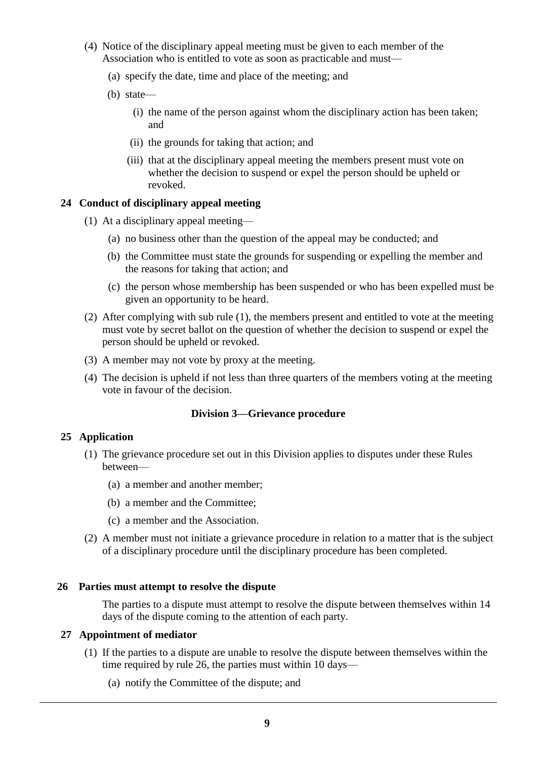- (4) Notice of the disciplinary appeal meeting must be given to each member of the Association who is entitled to vote as soon as practicable and must—
	- (a) specify the date, time and place of the meeting; and
	- (b) state—
		- (i) the name of the person against whom the disciplinary action has been taken; and
		- (ii) the grounds for taking that action; and
		- (iii) that at the disciplinary appeal meeting the members present must vote on whether the decision to suspend or expel the person should be upheld or revoked.

# **24 Conduct of disciplinary appeal meeting**

- (1) At a disciplinary appeal meeting—
	- (a) no business other than the question of the appeal may be conducted; and
	- (b) the Committee must state the grounds for suspending or expelling the member and the reasons for taking that action; and
	- (c) the person whose membership has been suspended or who has been expelled must be given an opportunity to be heard.
- (2) After complying with sub rule (1), the members present and entitled to vote at the meeting must vote by secret ballot on the question of whether the decision to suspend or expel the person should be upheld or revoked.
- (3) A member may not vote by proxy at the meeting.
- (4) The decision is upheld if not less than three quarters of the members voting at the meeting vote in favour of the decision.

# **Division 3—Grievance procedure**

# **25 Application**

- (1) The grievance procedure set out in this Division applies to disputes under these Rules between—
	- (a) a member and another member;
	- (b) a member and the Committee;
	- (c) a member and the Association.
- (2) A member must not initiate a grievance procedure in relation to a matter that is the subject of a disciplinary procedure until the disciplinary procedure has been completed.

# **26 Parties must attempt to resolve the dispute**

The parties to a dispute must attempt to resolve the dispute between themselves within 14 days of the dispute coming to the attention of each party.

# **27 Appointment of mediator**

- (1) If the parties to a dispute are unable to resolve the dispute between themselves within the time required by rule 26, the parties must within 10 days—
	- (a) notify the Committee of the dispute; and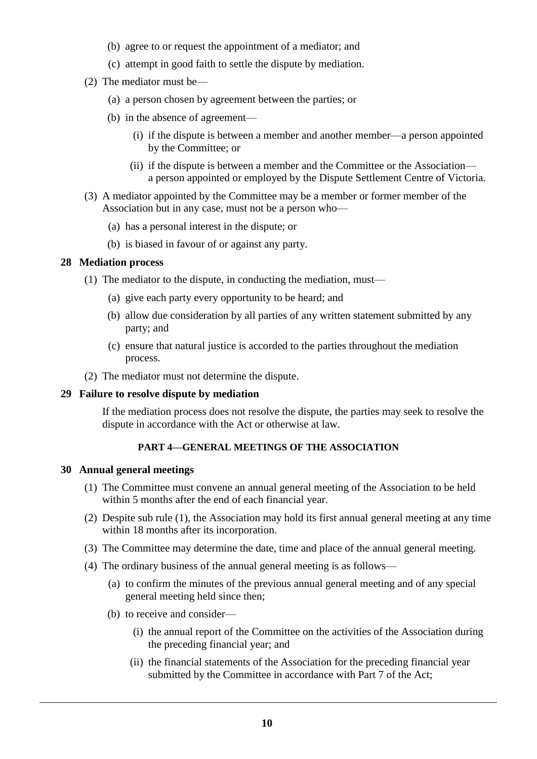- (b) agree to or request the appointment of a mediator; and
- (c) attempt in good faith to settle the dispute by mediation.
- (2) The mediator must be—
	- (a) a person chosen by agreement between the parties; or
	- (b) in the absence of agreement—
		- (i) if the dispute is between a member and another member—a person appointed by the Committee; or
		- (ii) if the dispute is between a member and the Committee or the Association a person appointed or employed by the Dispute Settlement Centre of Victoria.
- (3) A mediator appointed by the Committee may be a member or former member of the Association but in any case, must not be a person who—
	- (a) has a personal interest in the dispute; or
	- (b) is biased in favour of or against any party.

# **28 Mediation process**

- (1) The mediator to the dispute, in conducting the mediation, must—
	- (a) give each party every opportunity to be heard; and
	- (b) allow due consideration by all parties of any written statement submitted by any party; and
	- (c) ensure that natural justice is accorded to the parties throughout the mediation process.
- (2) The mediator must not determine the dispute.

# **29 Failure to resolve dispute by mediation**

If the mediation process does not resolve the dispute, the parties may seek to resolve the dispute in accordance with the Act or otherwise at law.

# **PART 4—GENERAL MEETINGS OF THE ASSOCIATION**

# **30 Annual general meetings**

- (1) The Committee must convene an annual general meeting of the Association to be held within 5 months after the end of each financial year.
- (2) Despite sub rule (1), the Association may hold its first annual general meeting at any time within 18 months after its incorporation.
- (3) The Committee may determine the date, time and place of the annual general meeting.
- (4) The ordinary business of the annual general meeting is as follows—
	- (a) to confirm the minutes of the previous annual general meeting and of any special general meeting held since then;
	- (b) to receive and consider—
		- (i) the annual report of the Committee on the activities of the Association during the preceding financial year; and
		- (ii) the financial statements of the Association for the preceding financial year submitted by the Committee in accordance with Part 7 of the Act;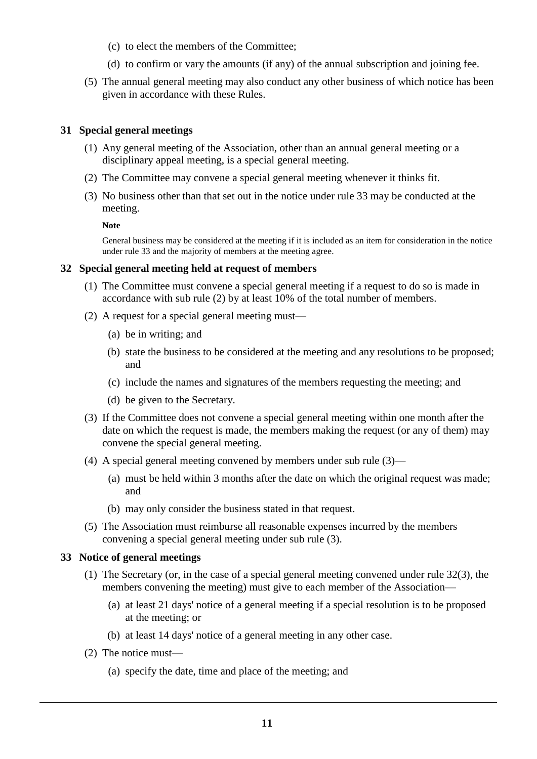- (c) to elect the members of the Committee;
- (d) to confirm or vary the amounts (if any) of the annual subscription and joining fee.
- (5) The annual general meeting may also conduct any other business of which notice has been given in accordance with these Rules.

# **31 Special general meetings**

- (1) Any general meeting of the Association, other than an annual general meeting or a disciplinary appeal meeting, is a special general meeting.
- (2) The Committee may convene a special general meeting whenever it thinks fit.
- (3) No business other than that set out in the notice under rule 33 may be conducted at the meeting.

**Note**

General business may be considered at the meeting if it is included as an item for consideration in the notice under rule 33 and the majority of members at the meeting agree.

#### **32 Special general meeting held at request of members**

- (1) The Committee must convene a special general meeting if a request to do so is made in accordance with sub rule (2) by at least 10% of the total number of members.
- (2) A request for a special general meeting must—
	- (a) be in writing; and
	- (b) state the business to be considered at the meeting and any resolutions to be proposed; and
	- (c) include the names and signatures of the members requesting the meeting; and
	- (d) be given to the Secretary.
- (3) If the Committee does not convene a special general meeting within one month after the date on which the request is made, the members making the request (or any of them) may convene the special general meeting.
- (4) A special general meeting convened by members under sub rule (3)—
	- (a) must be held within 3 months after the date on which the original request was made; and
	- (b) may only consider the business stated in that request.
- (5) The Association must reimburse all reasonable expenses incurred by the members convening a special general meeting under sub rule (3).

# **33 Notice of general meetings**

- (1) The Secretary (or, in the case of a special general meeting convened under rule 32(3), the members convening the meeting) must give to each member of the Association—
	- (a) at least 21 days' notice of a general meeting if a special resolution is to be proposed at the meeting; or
	- (b) at least 14 days' notice of a general meeting in any other case.
- (2) The notice must—
	- (a) specify the date, time and place of the meeting; and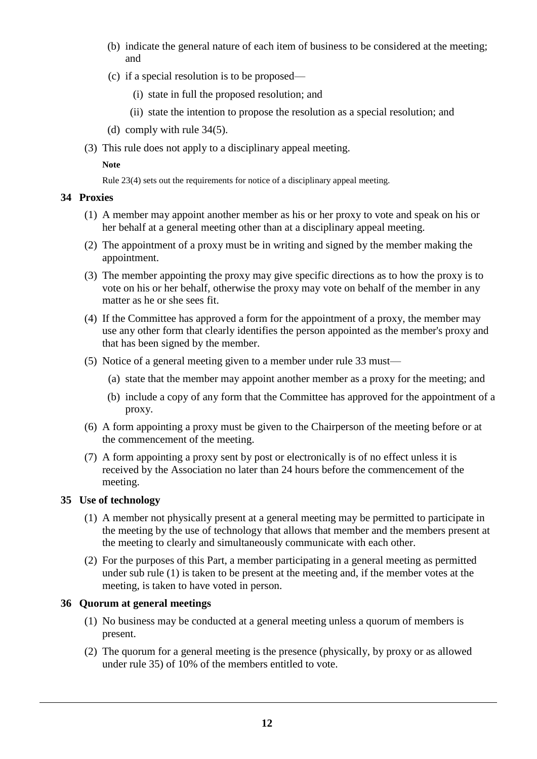- (b) indicate the general nature of each item of business to be considered at the meeting; and
- (c) if a special resolution is to be proposed—
	- (i) state in full the proposed resolution; and
	- (ii) state the intention to propose the resolution as a special resolution; and
- (d) comply with rule 34(5).
- (3) This rule does not apply to a disciplinary appeal meeting.

# **Note**

Rule 23(4) sets out the requirements for notice of a disciplinary appeal meeting.

# **34 Proxies**

- (1) A member may appoint another member as his or her proxy to vote and speak on his or her behalf at a general meeting other than at a disciplinary appeal meeting.
- (2) The appointment of a proxy must be in writing and signed by the member making the appointment.
- (3) The member appointing the proxy may give specific directions as to how the proxy is to vote on his or her behalf, otherwise the proxy may vote on behalf of the member in any matter as he or she sees fit.
- (4) If the Committee has approved a form for the appointment of a proxy, the member may use any other form that clearly identifies the person appointed as the member's proxy and that has been signed by the member.
- (5) Notice of a general meeting given to a member under rule 33 must—
	- (a) state that the member may appoint another member as a proxy for the meeting; and
	- (b) include a copy of any form that the Committee has approved for the appointment of a proxy.
- (6) A form appointing a proxy must be given to the Chairperson of the meeting before or at the commencement of the meeting.
- (7) A form appointing a proxy sent by post or electronically is of no effect unless it is received by the Association no later than 24 hours before the commencement of the meeting.

# **35 Use of technology**

- (1) A member not physically present at a general meeting may be permitted to participate in the meeting by the use of technology that allows that member and the members present at the meeting to clearly and simultaneously communicate with each other.
- (2) For the purposes of this Part, a member participating in a general meeting as permitted under sub rule (1) is taken to be present at the meeting and, if the member votes at the meeting, is taken to have voted in person.

# **36 Quorum at general meetings**

- (1) No business may be conducted at a general meeting unless a quorum of members is present.
- (2) The quorum for a general meeting is the presence (physically, by proxy or as allowed under rule 35) of 10% of the members entitled to vote.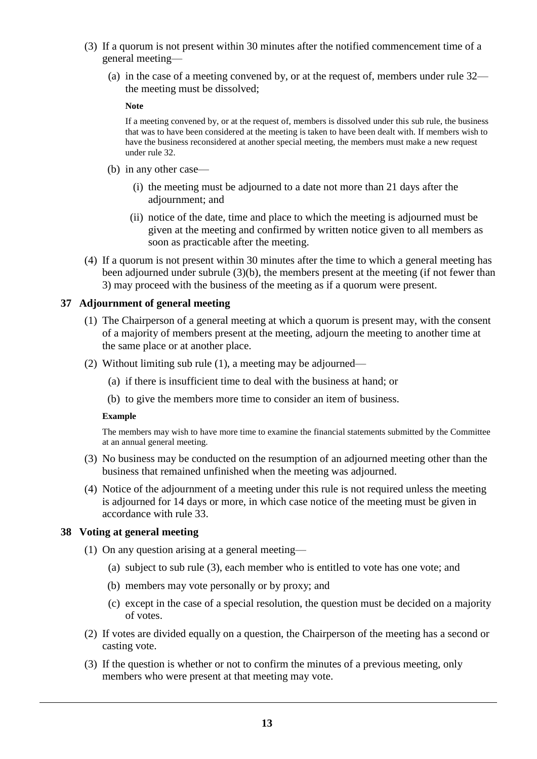- (3) If a quorum is not present within 30 minutes after the notified commencement time of a general meeting—
	- (a) in the case of a meeting convened by, or at the request of, members under rule 32 the meeting must be dissolved;

**Note**

If a meeting convened by, or at the request of, members is dissolved under this sub rule, the business that was to have been considered at the meeting is taken to have been dealt with. If members wish to have the business reconsidered at another special meeting, the members must make a new request under rule 32.

- (b) in any other case—
	- (i) the meeting must be adjourned to a date not more than 21 days after the adjournment; and
	- (ii) notice of the date, time and place to which the meeting is adjourned must be given at the meeting and confirmed by written notice given to all members as soon as practicable after the meeting.
- (4) If a quorum is not present within 30 minutes after the time to which a general meeting has been adjourned under subrule (3)(b), the members present at the meeting (if not fewer than 3) may proceed with the business of the meeting as if a quorum were present.

# **37 Adjournment of general meeting**

- (1) The Chairperson of a general meeting at which a quorum is present may, with the consent of a majority of members present at the meeting, adjourn the meeting to another time at the same place or at another place.
- (2) Without limiting sub rule (1), a meeting may be adjourned—
	- (a) if there is insufficient time to deal with the business at hand; or
	- (b) to give the members more time to consider an item of business.

#### **Example**

The members may wish to have more time to examine the financial statements submitted by the Committee at an annual general meeting.

- (3) No business may be conducted on the resumption of an adjourned meeting other than the business that remained unfinished when the meeting was adjourned.
- (4) Notice of the adjournment of a meeting under this rule is not required unless the meeting is adjourned for 14 days or more, in which case notice of the meeting must be given in accordance with rule 33.

# **38 Voting at general meeting**

- (1) On any question arising at a general meeting—
	- (a) subject to sub rule (3), each member who is entitled to vote has one vote; and
	- (b) members may vote personally or by proxy; and
	- (c) except in the case of a special resolution, the question must be decided on a majority of votes.
- (2) If votes are divided equally on a question, the Chairperson of the meeting has a second or casting vote.
- (3) If the question is whether or not to confirm the minutes of a previous meeting, only members who were present at that meeting may vote.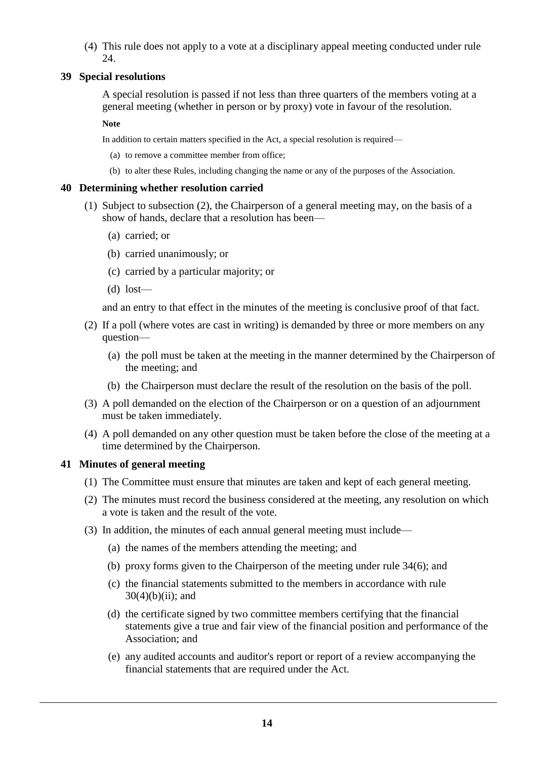(4) This rule does not apply to a vote at a disciplinary appeal meeting conducted under rule 24.

# **39 Special resolutions**

A special resolution is passed if not less than three quarters of the members voting at a general meeting (whether in person or by proxy) vote in favour of the resolution.

#### **Note**

In addition to certain matters specified in the Act, a special resolution is required—

- (a) to remove a committee member from office;
- (b) to alter these Rules, including changing the name or any of the purposes of the Association.

# **40 Determining whether resolution carried**

- (1) Subject to subsection (2), the Chairperson of a general meeting may, on the basis of a show of hands, declare that a resolution has been—
	- (a) carried; or
	- (b) carried unanimously; or
	- (c) carried by a particular majority; or
	- (d) lost—

and an entry to that effect in the minutes of the meeting is conclusive proof of that fact.

- (2) If a poll (where votes are cast in writing) is demanded by three or more members on any question—
	- (a) the poll must be taken at the meeting in the manner determined by the Chairperson of the meeting; and
	- (b) the Chairperson must declare the result of the resolution on the basis of the poll.
- (3) A poll demanded on the election of the Chairperson or on a question of an adjournment must be taken immediately.
- (4) A poll demanded on any other question must be taken before the close of the meeting at a time determined by the Chairperson.

# **41 Minutes of general meeting**

- (1) The Committee must ensure that minutes are taken and kept of each general meeting.
- (2) The minutes must record the business considered at the meeting, any resolution on which a vote is taken and the result of the vote.
- (3) In addition, the minutes of each annual general meeting must include—
	- (a) the names of the members attending the meeting; and
	- (b) proxy forms given to the Chairperson of the meeting under rule 34(6); and
	- (c) the financial statements submitted to the members in accordance with rule  $30(4)(b)(ii)$ ; and
	- (d) the certificate signed by two committee members certifying that the financial statements give a true and fair view of the financial position and performance of the Association; and
	- (e) any audited accounts and auditor's report or report of a review accompanying the financial statements that are required under the Act.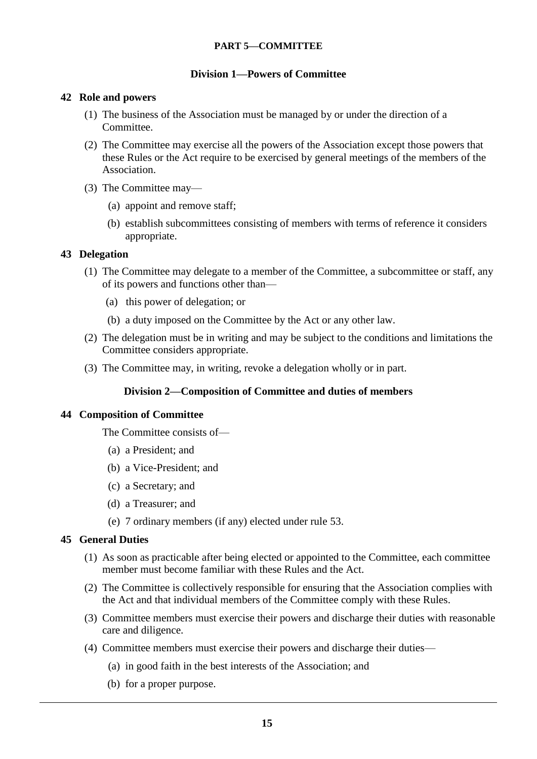# **PART 5—COMMITTEE**

# **Division 1—Powers of Committee**

# **42 Role and powers**

- (1) The business of the Association must be managed by or under the direction of a Committee.
- (2) The Committee may exercise all the powers of the Association except those powers that these Rules or the Act require to be exercised by general meetings of the members of the Association.
- (3) The Committee may—
	- (a) appoint and remove staff;
	- (b) establish subcommittees consisting of members with terms of reference it considers appropriate.

# **43 Delegation**

- (1) The Committee may delegate to a member of the Committee, a subcommittee or staff, any of its powers and functions other than—
	- (a) this power of delegation; or
	- (b) a duty imposed on the Committee by the Act or any other law.
- (2) The delegation must be in writing and may be subject to the conditions and limitations the Committee considers appropriate.
- (3) The Committee may, in writing, revoke a delegation wholly or in part.

# **Division 2—Composition of Committee and duties of members**

# **44 Composition of Committee**

The Committee consists of—

- (a) a President; and
- (b) a Vice-President; and
- (c) a Secretary; and
- (d) a Treasurer; and
- (e) 7 ordinary members (if any) elected under rule 53.

# **45 General Duties**

- (1) As soon as practicable after being elected or appointed to the Committee, each committee member must become familiar with these Rules and the Act.
- (2) The Committee is collectively responsible for ensuring that the Association complies with the Act and that individual members of the Committee comply with these Rules.
- (3) Committee members must exercise their powers and discharge their duties with reasonable care and diligence.
- (4) Committee members must exercise their powers and discharge their duties—
	- (a) in good faith in the best interests of the Association; and
	- (b) for a proper purpose.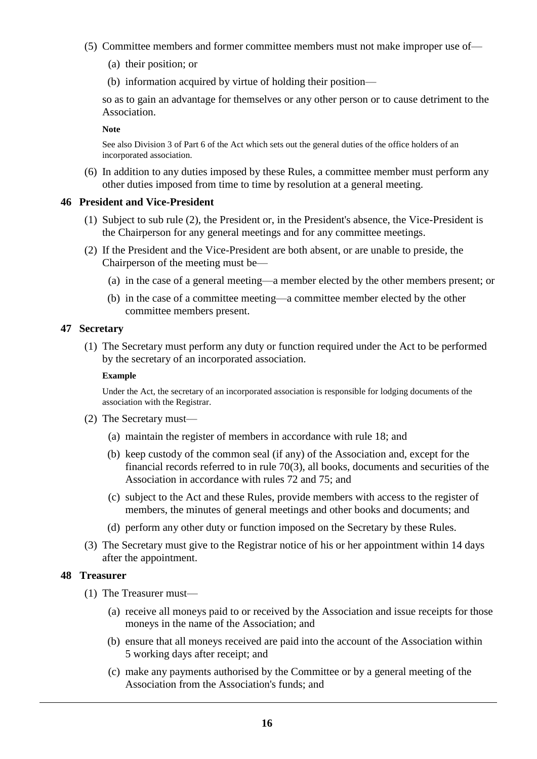- (5) Committee members and former committee members must not make improper use of—
	- (a) their position; or
	- (b) information acquired by virtue of holding their position—

so as to gain an advantage for themselves or any other person or to cause detriment to the Association.

**Note**

See also Division 3 of Part 6 of the Act which sets out the general duties of the office holders of an incorporated association.

(6) In addition to any duties imposed by these Rules, a committee member must perform any other duties imposed from time to time by resolution at a general meeting.

#### **46 President and Vice-President**

- (1) Subject to sub rule (2), the President or, in the President's absence, the Vice-President is the Chairperson for any general meetings and for any committee meetings.
- (2) If the President and the Vice-President are both absent, or are unable to preside, the Chairperson of the meeting must be—
	- (a) in the case of a general meeting—a member elected by the other members present; or
	- (b) in the case of a committee meeting—a committee member elected by the other committee members present.

# **47 Secretary**

(1) The Secretary must perform any duty or function required under the Act to be performed by the secretary of an incorporated association.

#### **Example**

Under the Act, the secretary of an incorporated association is responsible for lodging documents of the association with the Registrar.

- (2) The Secretary must—
	- (a) maintain the register of members in accordance with rule 18; and
	- (b) keep custody of the common seal (if any) of the Association and, except for the financial records referred to in rule 70(3), all books, documents and securities of the Association in accordance with rules 72 and 75; and
	- (c) subject to the Act and these Rules, provide members with access to the register of members, the minutes of general meetings and other books and documents; and
	- (d) perform any other duty or function imposed on the Secretary by these Rules.
- (3) The Secretary must give to the Registrar notice of his or her appointment within 14 days after the appointment.

# **48 Treasurer**

- (1) The Treasurer must—
	- (a) receive all moneys paid to or received by the Association and issue receipts for those moneys in the name of the Association; and
	- (b) ensure that all moneys received are paid into the account of the Association within 5 working days after receipt; and
	- (c) make any payments authorised by the Committee or by a general meeting of the Association from the Association's funds; and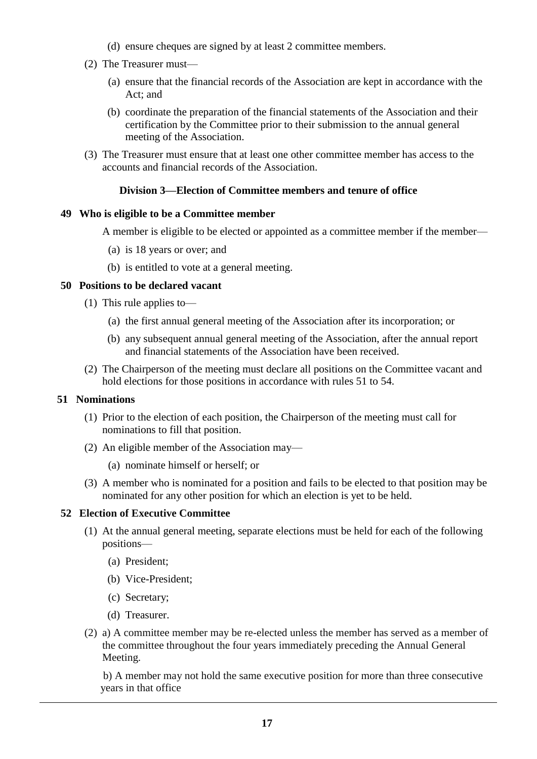- (d) ensure cheques are signed by at least 2 committee members.
- (2) The Treasurer must—
	- (a) ensure that the financial records of the Association are kept in accordance with the Act; and
	- (b) coordinate the preparation of the financial statements of the Association and their certification by the Committee prior to their submission to the annual general meeting of the Association.
- (3) The Treasurer must ensure that at least one other committee member has access to the accounts and financial records of the Association.

# **Division 3—Election of Committee members and tenure of office**

# **49 Who is eligible to be a Committee member**

A member is eligible to be elected or appointed as a committee member if the member—

- (a) is 18 years or over; and
- (b) is entitled to vote at a general meeting.

# **50 Positions to be declared vacant**

- (1) This rule applies to—
	- (a) the first annual general meeting of the Association after its incorporation; or
	- (b) any subsequent annual general meeting of the Association, after the annual report and financial statements of the Association have been received.
- (2) The Chairperson of the meeting must declare all positions on the Committee vacant and hold elections for those positions in accordance with rules 51 to 54.

# **51 Nominations**

- (1) Prior to the election of each position, the Chairperson of the meeting must call for nominations to fill that position.
- (2) An eligible member of the Association may—
	- (a) nominate himself or herself; or
- (3) A member who is nominated for a position and fails to be elected to that position may be nominated for any other position for which an election is yet to be held.

# **52 Election of Executive Committee**

- (1) At the annual general meeting, separate elections must be held for each of the following positions—
	- (a) President;
	- (b) Vice-President;
	- (c) Secretary;
	- (d) Treasurer.
- (2) a) A committee member may be re-elected unless the member has served as a member of the committee throughout the four years immediately preceding the Annual General Meeting.

 b) A member may not hold the same executive position for more than three consecutive years in that office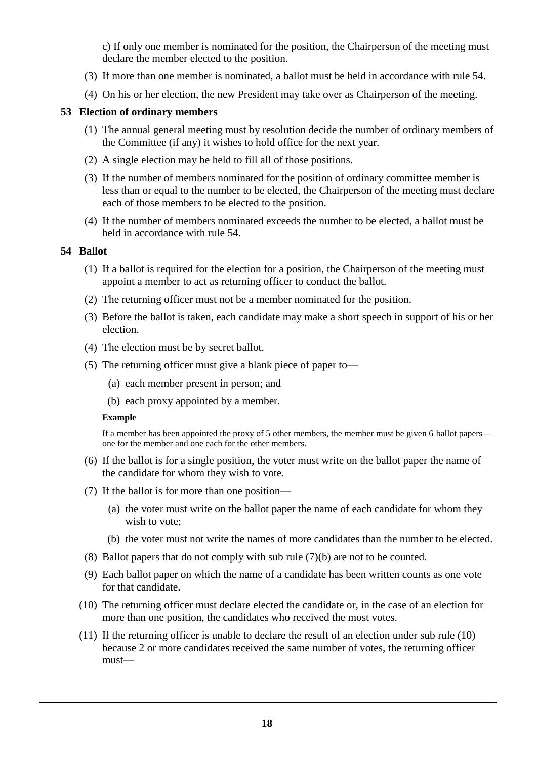c) If only one member is nominated for the position, the Chairperson of the meeting must declare the member elected to the position.

- (3) If more than one member is nominated, a ballot must be held in accordance with rule 54.
- (4) On his or her election, the new President may take over as Chairperson of the meeting.

# **53 Election of ordinary members**

- (1) The annual general meeting must by resolution decide the number of ordinary members of the Committee (if any) it wishes to hold office for the next year.
- (2) A single election may be held to fill all of those positions.
- (3) If the number of members nominated for the position of ordinary committee member is less than or equal to the number to be elected, the Chairperson of the meeting must declare each of those members to be elected to the position.
- (4) If the number of members nominated exceeds the number to be elected, a ballot must be held in accordance with rule 54.

# **54 Ballot**

- (1) If a ballot is required for the election for a position, the Chairperson of the meeting must appoint a member to act as returning officer to conduct the ballot.
- (2) The returning officer must not be a member nominated for the position.
- (3) Before the ballot is taken, each candidate may make a short speech in support of his or her election.
- (4) The election must be by secret ballot.
- (5) The returning officer must give a blank piece of paper to—
	- (a) each member present in person; and
	- (b) each proxy appointed by a member.

# **Example**

If a member has been appointed the proxy of 5 other members, the member must be given 6 ballot papers one for the member and one each for the other members.

- (6) If the ballot is for a single position, the voter must write on the ballot paper the name of the candidate for whom they wish to vote.
- (7) If the ballot is for more than one position—
	- (a) the voter must write on the ballot paper the name of each candidate for whom they wish to vote;
	- (b) the voter must not write the names of more candidates than the number to be elected.
- (8) Ballot papers that do not comply with sub rule (7)(b) are not to be counted.
- (9) Each ballot paper on which the name of a candidate has been written counts as one vote for that candidate.
- (10) The returning officer must declare elected the candidate or, in the case of an election for more than one position, the candidates who received the most votes.
- (11) If the returning officer is unable to declare the result of an election under sub rule (10) because 2 or more candidates received the same number of votes, the returning officer must—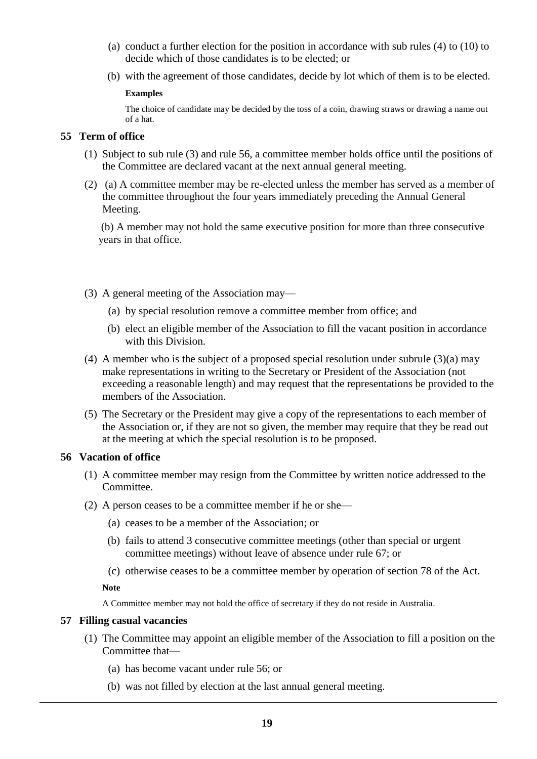- (a) conduct a further election for the position in accordance with sub rules (4) to (10) to decide which of those candidates is to be elected; or
- (b) with the agreement of those candidates, decide by lot which of them is to be elected.

#### **Examples**

The choice of candidate may be decided by the toss of a coin, drawing straws or drawing a name out of a hat.

# **55 Term of office**

- (1) Subject to sub rule (3) and rule 56, a committee member holds office until the positions of the Committee are declared vacant at the next annual general meeting.
- (2) (a) A committee member may be re-elected unless the member has served as a member of the committee throughout the four years immediately preceding the Annual General Meeting.

(b) A member may not hold the same executive position for more than three consecutive years in that office.

- (3) A general meeting of the Association may—
	- (a) by special resolution remove a committee member from office; and
	- (b) elect an eligible member of the Association to fill the vacant position in accordance with this Division.
- (4) A member who is the subject of a proposed special resolution under subrule (3)(a) may make representations in writing to the Secretary or President of the Association (not exceeding a reasonable length) and may request that the representations be provided to the members of the Association.
- (5) The Secretary or the President may give a copy of the representations to each member of the Association or, if they are not so given, the member may require that they be read out at the meeting at which the special resolution is to be proposed.

# **56 Vacation of office**

- (1) A committee member may resign from the Committee by written notice addressed to the Committee.
- (2) A person ceases to be a committee member if he or she—
	- (a) ceases to be a member of the Association; or
	- (b) fails to attend 3 consecutive committee meetings (other than special or urgent committee meetings) without leave of absence under rule 67; or
	- (c) otherwise ceases to be a committee member by operation of section 78 of the Act.

**Note**

A Committee member may not hold the office of secretary if they do not reside in Australia.

# **57 Filling casual vacancies**

- (1) The Committee may appoint an eligible member of the Association to fill a position on the Committee that—
	- (a) has become vacant under rule 56; or
	- (b) was not filled by election at the last annual general meeting.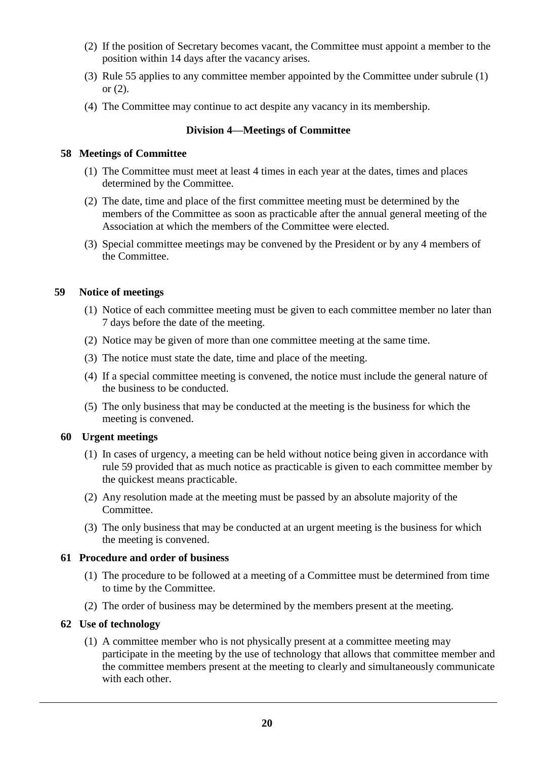- (2) If the position of Secretary becomes vacant, the Committee must appoint a member to the position within 14 days after the vacancy arises.
- (3) Rule 55 applies to any committee member appointed by the Committee under subrule (1) or  $(2)$ .
- (4) The Committee may continue to act despite any vacancy in its membership.

# **Division 4—Meetings of Committee**

# **58 Meetings of Committee**

- (1) The Committee must meet at least 4 times in each year at the dates, times and places determined by the Committee.
- (2) The date, time and place of the first committee meeting must be determined by the members of the Committee as soon as practicable after the annual general meeting of the Association at which the members of the Committee were elected.
- (3) Special committee meetings may be convened by the President or by any 4 members of the Committee.

# **59 Notice of meetings**

- (1) Notice of each committee meeting must be given to each committee member no later than 7 days before the date of the meeting.
- (2) Notice may be given of more than one committee meeting at the same time.
- (3) The notice must state the date, time and place of the meeting.
- (4) If a special committee meeting is convened, the notice must include the general nature of the business to be conducted.
- (5) The only business that may be conducted at the meeting is the business for which the meeting is convened.

# **60 Urgent meetings**

- (1) In cases of urgency, a meeting can be held without notice being given in accordance with rule 59 provided that as much notice as practicable is given to each committee member by the quickest means practicable.
- (2) Any resolution made at the meeting must be passed by an absolute majority of the Committee.
- (3) The only business that may be conducted at an urgent meeting is the business for which the meeting is convened.

# **61 Procedure and order of business**

- (1) The procedure to be followed at a meeting of a Committee must be determined from time to time by the Committee.
- (2) The order of business may be determined by the members present at the meeting.

# **62 Use of technology**

(1) A committee member who is not physically present at a committee meeting may participate in the meeting by the use of technology that allows that committee member and the committee members present at the meeting to clearly and simultaneously communicate with each other.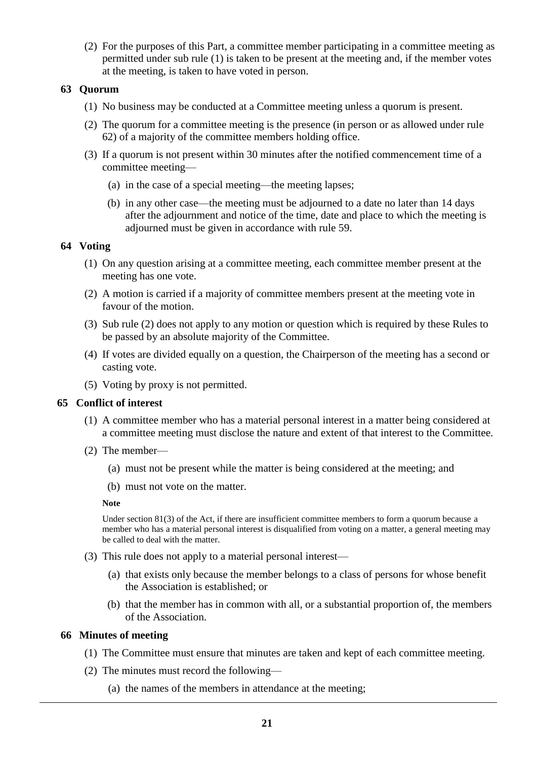(2) For the purposes of this Part, a committee member participating in a committee meeting as permitted under sub rule (1) is taken to be present at the meeting and, if the member votes at the meeting, is taken to have voted in person.

# **63 Quorum**

- (1) No business may be conducted at a Committee meeting unless a quorum is present.
- (2) The quorum for a committee meeting is the presence (in person or as allowed under rule 62) of a majority of the committee members holding office.
- (3) If a quorum is not present within 30 minutes after the notified commencement time of a committee meeting—
	- (a) in the case of a special meeting—the meeting lapses;
	- (b) in any other case—the meeting must be adjourned to a date no later than 14 days after the adjournment and notice of the time, date and place to which the meeting is adjourned must be given in accordance with rule 59.

# **64 Voting**

- (1) On any question arising at a committee meeting, each committee member present at the meeting has one vote.
- (2) A motion is carried if a majority of committee members present at the meeting vote in favour of the motion.
- (3) Sub rule (2) does not apply to any motion or question which is required by these Rules to be passed by an absolute majority of the Committee.
- (4) If votes are divided equally on a question, the Chairperson of the meeting has a second or casting vote.
- (5) Voting by proxy is not permitted.

# **65 Conflict of interest**

- (1) A committee member who has a material personal interest in a matter being considered at a committee meeting must disclose the nature and extent of that interest to the Committee.
- (2) The member—
	- (a) must not be present while the matter is being considered at the meeting; and
	- (b) must not vote on the matter.

#### **Note**

Under section 81(3) of the Act, if there are insufficient committee members to form a quorum because a member who has a material personal interest is disqualified from voting on a matter, a general meeting may be called to deal with the matter.

- (3) This rule does not apply to a material personal interest—
	- (a) that exists only because the member belongs to a class of persons for whose benefit the Association is established; or
	- (b) that the member has in common with all, or a substantial proportion of, the members of the Association.

# **66 Minutes of meeting**

- (1) The Committee must ensure that minutes are taken and kept of each committee meeting.
- (2) The minutes must record the following—
	- (a) the names of the members in attendance at the meeting;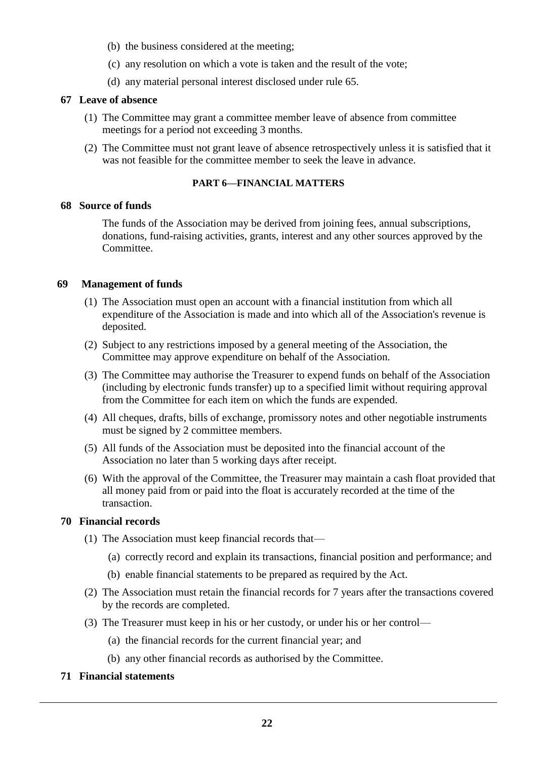- (b) the business considered at the meeting;
- (c) any resolution on which a vote is taken and the result of the vote;
- (d) any material personal interest disclosed under rule 65.

# **67 Leave of absence**

- (1) The Committee may grant a committee member leave of absence from committee meetings for a period not exceeding 3 months.
- (2) The Committee must not grant leave of absence retrospectively unless it is satisfied that it was not feasible for the committee member to seek the leave in advance.

# **PART 6—FINANCIAL MATTERS**

# **68 Source of funds**

The funds of the Association may be derived from joining fees, annual subscriptions, donations, fund-raising activities, grants, interest and any other sources approved by the Committee.

# **69 Management of funds**

- (1) The Association must open an account with a financial institution from which all expenditure of the Association is made and into which all of the Association's revenue is deposited.
- (2) Subject to any restrictions imposed by a general meeting of the Association, the Committee may approve expenditure on behalf of the Association.
- (3) The Committee may authorise the Treasurer to expend funds on behalf of the Association (including by electronic funds transfer) up to a specified limit without requiring approval from the Committee for each item on which the funds are expended.
- (4) All cheques, drafts, bills of exchange, promissory notes and other negotiable instruments must be signed by 2 committee members.
- (5) All funds of the Association must be deposited into the financial account of the Association no later than 5 working days after receipt.
- (6) With the approval of the Committee, the Treasurer may maintain a cash float provided that all money paid from or paid into the float is accurately recorded at the time of the transaction.

# **70 Financial records**

- (1) The Association must keep financial records that—
	- (a) correctly record and explain its transactions, financial position and performance; and
	- (b) enable financial statements to be prepared as required by the Act.
- (2) The Association must retain the financial records for 7 years after the transactions covered by the records are completed.
- (3) The Treasurer must keep in his or her custody, or under his or her control—
	- (a) the financial records for the current financial year; and
	- (b) any other financial records as authorised by the Committee.
- **71 Financial statements**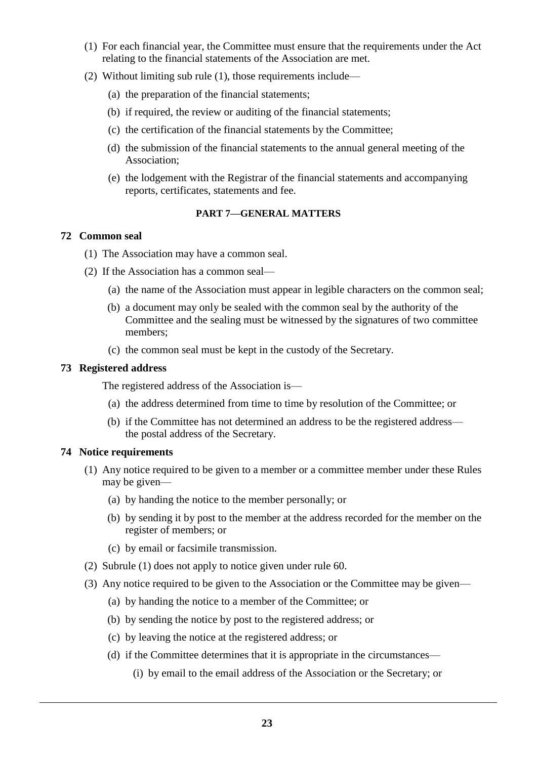- (1) For each financial year, the Committee must ensure that the requirements under the Act relating to the financial statements of the Association are met.
- (2) Without limiting sub rule (1), those requirements include—
	- (a) the preparation of the financial statements;
	- (b) if required, the review or auditing of the financial statements;
	- (c) the certification of the financial statements by the Committee;
	- (d) the submission of the financial statements to the annual general meeting of the Association;
	- (e) the lodgement with the Registrar of the financial statements and accompanying reports, certificates, statements and fee.

# **PART 7—GENERAL MATTERS**

# **72 Common seal**

- (1) The Association may have a common seal.
- (2) If the Association has a common seal—
	- (a) the name of the Association must appear in legible characters on the common seal;
	- (b) a document may only be sealed with the common seal by the authority of the Committee and the sealing must be witnessed by the signatures of two committee members;
	- (c) the common seal must be kept in the custody of the Secretary.

# **73 Registered address**

The registered address of the Association is—

- (a) the address determined from time to time by resolution of the Committee; or
- (b) if the Committee has not determined an address to be the registered address the postal address of the Secretary.

# **74 Notice requirements**

- (1) Any notice required to be given to a member or a committee member under these Rules may be given—
	- (a) by handing the notice to the member personally; or
	- (b) by sending it by post to the member at the address recorded for the member on the register of members; or
	- (c) by email or facsimile transmission.
- (2) Subrule (1) does not apply to notice given under rule 60.
- (3) Any notice required to be given to the Association or the Committee may be given—
	- (a) by handing the notice to a member of the Committee; or
	- (b) by sending the notice by post to the registered address; or
	- (c) by leaving the notice at the registered address; or
	- (d) if the Committee determines that it is appropriate in the circumstances—
		- (i) by email to the email address of the Association or the Secretary; or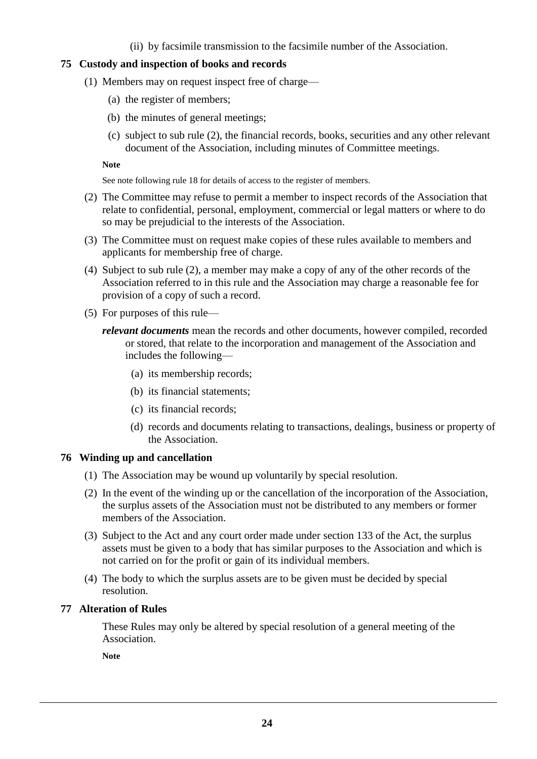(ii) by facsimile transmission to the facsimile number of the Association.

# **75 Custody and inspection of books and records**

- (1) Members may on request inspect free of charge—
	- (a) the register of members;
	- (b) the minutes of general meetings;
	- (c) subject to sub rule (2), the financial records, books, securities and any other relevant document of the Association, including minutes of Committee meetings.

#### **Note**

See note following rule 18 for details of access to the register of members.

- (2) The Committee may refuse to permit a member to inspect records of the Association that relate to confidential, personal, employment, commercial or legal matters or where to do so may be prejudicial to the interests of the Association.
- (3) The Committee must on request make copies of these rules available to members and applicants for membership free of charge.
- (4) Subject to sub rule (2), a member may make a copy of any of the other records of the Association referred to in this rule and the Association may charge a reasonable fee for provision of a copy of such a record.
- (5) For purposes of this rule
	- *relevant documents* mean the records and other documents, however compiled, recorded or stored, that relate to the incorporation and management of the Association and includes the following—
		- (a) its membership records;
		- (b) its financial statements;
		- (c) its financial records;
		- (d) records and documents relating to transactions, dealings, business or property of the Association.

# **76 Winding up and cancellation**

- (1) The Association may be wound up voluntarily by special resolution.
- (2) In the event of the winding up or the cancellation of the incorporation of the Association, the surplus assets of the Association must not be distributed to any members or former members of the Association.
- (3) Subject to the Act and any court order made under section 133 of the Act, the surplus assets must be given to a body that has similar purposes to the Association and which is not carried on for the profit or gain of its individual members.
- (4) The body to which the surplus assets are to be given must be decided by special resolution.

# **77 Alteration of Rules**

These Rules may only be altered by special resolution of a general meeting of the Association.

**Note**